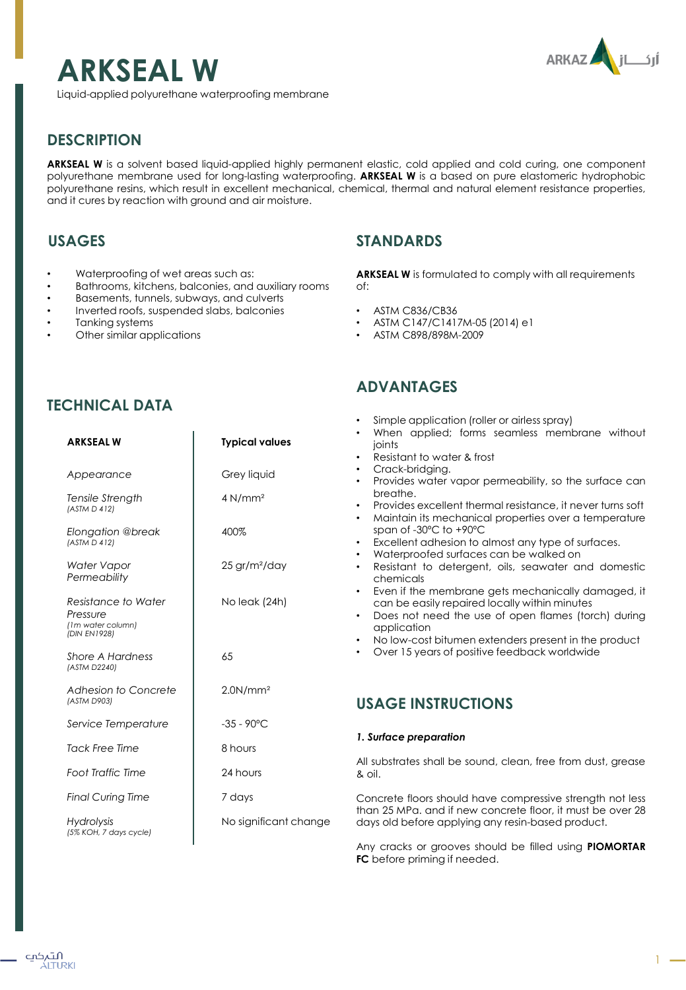

# **ARKSEAL W**

Liquid-applied polyurethane waterproofing membrane

# **DESCRIPTION**

**ARKSEAL W** is a solvent based liquid-applied highly permanent elastic, cold applied and cold curing, one component polyurethane membrane used for long-lasting waterproofing. **ARKSEAL W** is a based on pure elastomeric hydrophobic polyurethane resins, which result in excellent mechanical, chemical, thermal and natural element resistance properties, and it cures by reaction with ground and air moisture.

# **USAGES**

- Waterproofing of wet areas such as:
- Bathrooms, kitchens, balconies, and auxiliary rooms
- Basements, tunnels, subways, and culverts
- Inverted roofs, suspended slabs, balconies
- Tanking systems

**TECHNICAL DATA**

• Other similar applications

# **STANDARDS**

**ARKSEAL W** is formulated to comply with all requirements of:

- ASTM C836/CB36
- ASTM C147/C1417M-05 (2014) e1
- ASTM C898/898M-2009

# **ADVANTAGES**

| <b>ARKSEALW</b>                                                      | <b>Typical values</b>       | Simple application (roller or airless spray)<br>When applied; forms seamless membrane without<br>joints<br>Resistant to water & frost<br>$\bullet$                                                                                                          |  |
|----------------------------------------------------------------------|-----------------------------|-------------------------------------------------------------------------------------------------------------------------------------------------------------------------------------------------------------------------------------------------------------|--|
| Appearance                                                           | Grey liquid                 | Crack-bridging.<br>Provides water vapor permeability, so the surface can<br>$\bullet$                                                                                                                                                                       |  |
| Tensile Strength<br>(ASTM D 412)                                     | 4 N/mm <sup>2</sup>         | breathe.<br>Provides excellent thermal resistance, it never turns soft<br>$\bullet$<br>Maintain its mechanical properties over a temperature<br>$\bullet$                                                                                                   |  |
| <b>Elongation @break</b><br>(ASTM D 412)                             | 400%                        | span of -30°C to +90°C<br>Excellent adhesion to almost any type of surfaces.<br>$\bullet$                                                                                                                                                                   |  |
| Water Vapor<br>Permeability                                          | $25$ gr/m <sup>2</sup> /day | Waterproofed surfaces can be walked on<br>$\bullet$<br>Resistant to detergent, oils, seawater and domestic<br>$\bullet$<br>chemicals                                                                                                                        |  |
| Resistance to Water<br>Pressure<br>(1m water column)<br>(DIN EN1928) | No leak (24h)               | Even if the membrane gets mechanically damaged, it<br>$\bullet$<br>can be easily repaired locally within minutes<br>Does not need the use of open flames (torch) during<br>$\bullet$<br>application<br>No low-cost bitumen extenders present in the product |  |
| Shore A Hardness<br>(ASTM D2240)                                     | 65                          | Over 15 years of positive feedback worldwide<br>$\bullet$                                                                                                                                                                                                   |  |
| Adhesion to Concrete<br>(ASTM D903)                                  | 2.0N/mm <sup>2</sup>        | <b>USAGE INSTRUCTIONS</b>                                                                                                                                                                                                                                   |  |
| Service Temperature                                                  | $-35 - 90^{\circ}$ C        |                                                                                                                                                                                                                                                             |  |
| <b>Tack Free Time</b>                                                | 8 hours                     | 1. Surface preparation                                                                                                                                                                                                                                      |  |
| <b>Foot Traffic Time</b>                                             | 24 hours                    | All substrates shall be sound, clean, free from dust, grease<br>& oil.                                                                                                                                                                                      |  |
| <b>Final Curing Time</b>                                             | 7 days                      | Concrete floors should have compressive strength not less                                                                                                                                                                                                   |  |
| <b>Hydrolysis</b><br>(5% KOH, 7 days cycle)                          | No significant change       | than 25 MPa, and if new concrete floor, it must be over 28<br>days old before applying any resin-based product.                                                                                                                                             |  |
|                                                                      |                             | Any cracks or grooves should be filled using PIOMORTAR<br><b>FC</b> before priming if needed.                                                                                                                                                               |  |